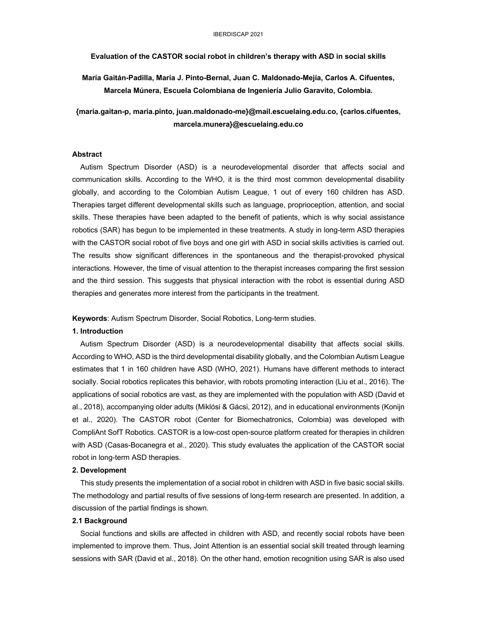**Evaluation of the CASTOR social robot in children's therapy with ASD in social skills**

**María Gaitán-Padilla, María J. Pinto-Bernal, Juan C. Maldonado-Mejía, Carlos A. Cifuentes, Marcela Múnera, Escuela Colombiana de Ingeniería Julio Garavito, Colombia.**

**{maria.gaitan-p, maria.pinto, juan.maldonado-me}@mail.escuelaing.edu.co, {carlos.cifuentes, marcela.munera}@escuelaing.edu.co**

# **Abstract**

 Autism Spectrum Disorder (ASD) is a neurodevelopmental disorder that affects social and communication skills. According to the WHO, it is the third most common developmental disability globally, and according to the Colombian Autism League, 1 out of every 160 children has ASD. Therapies target different developmental skills such as language, proprioception, attention, and social skills. These therapies have been adapted to the benefit of patients, which is why social assistance robotics (SAR) has begun to be implemented in these treatments. A study in long-term ASD therapies with the CASTOR social robot of five boys and one girl with ASD in social skills activities is carried out. The results show significant differences in the spontaneous and the therapist-provoked physical interactions. However, the time of visual attention to the therapist increases comparing the first session and the third session. This suggests that physical interaction with the robot is essential during ASD therapies and generates more interest from the participants in the treatment.

**Keywords**: Autism Spectrum Disorder, Social Robotics, Long-term studies.

## **1. Introduction**

 Autism Spectrum Disorder (ASD) is a neurodevelopmental disability that affects social skills. According to WHO, ASD is the third developmental disability globally, and the Colombian Autism League estimates that 1 in 160 children have ASD (WHO, 2021). Humans have different methods to interact socially. Social robotics replicates this behavior, with robots promoting interaction (Liu et al., 2016). The applications of social robotics are vast, as they are implemented with the population with ASD (David et al., 2018), accompanying older adults (Miklósi & Gácsi, 2012), and in educational environments (Konijn et al., 2020). The CASTOR robot (Center for Biomechatronics, Colombia) was developed with CompliAnt SofT Robotics. CASTOR is a low-cost open-source platform created for therapies in children with ASD (Casas-Bocanegra et al., 2020). This study evaluates the application of the CASTOR social robot in long-term ASD therapies.

## **2. Development**

 This study presents the implementation of a social robot in children with ASD in five basic social skills. The methodology and partial results of five sessions of long-term research are presented. In addition, a discussion of the partial findings is shown.

#### **2.1 Background**

 Social functions and skills are affected in children with ASD, and recently social robots have been implemented to improve them. Thus, Joint Attention is an essential social skill treated through learning sessions with SAR (David et al., 2018). On the other hand, emotion recognition using SAR is also used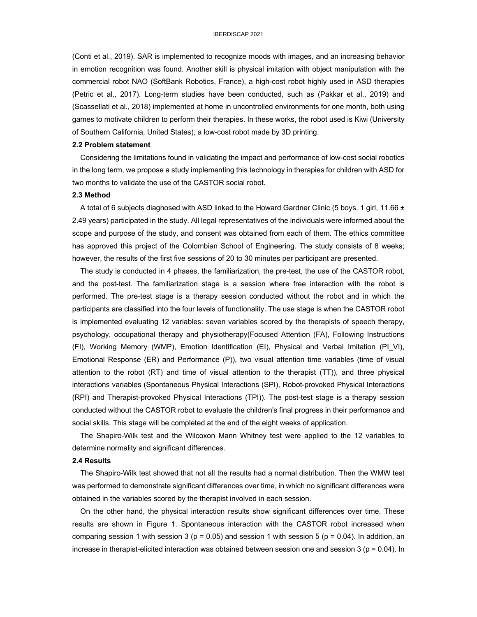(Conti et al., 2019). SAR is implemented to recognize moods with images, and an increasing behavior in emotion recognition was found. Another skill is physical imitation with object manipulation with the commercial robot NAO (SoftBank Robotics, France), a high-cost robot highly used in ASD therapies (Petric et al., 2017). Long-term studies have been conducted, such as (Pakkar et al., 2019) and (Scassellati et al., 2018) implemented at home in uncontrolled environments for one month, both using games to motivate children to perform their therapies. In these works, the robot used is Kiwi (University of Southern California, United States), a low-cost robot made by 3D printing.

## **2.2 Problem statement**

 Considering the limitations found in validating the impact and performance of low-cost social robotics in the long term, we propose a study implementing this technology in therapies for children with ASD for two months to validate the use of the CASTOR social robot.

#### **2.3 Method**

A total of 6 subjects diagnosed with ASD linked to the Howard Gardner Clinic (5 boys, 1 girl, 11.66  $\pm$ 2.49 years) participated in the study. All legal representatives of the individuals were informed about the scope and purpose of the study, and consent was obtained from each of them. The ethics committee has approved this project of the Colombian School of Engineering. The study consists of 8 weeks; however, the results of the first five sessions of 20 to 30 minutes per participant are presented.

 The study is conducted in 4 phases, the familiarization, the pre-test, the use of the CASTOR robot, and the post-test. The familiarization stage is a session where free interaction with the robot is performed. The pre-test stage is a therapy session conducted without the robot and in which the participants are classified into the four levels of functionality. The use stage is when the CASTOR robot is implemented evaluating 12 variables: seven variables scored by the therapists of speech therapy, psychology, occupational therapy and physiotherapy(Focused Attention (FA), Following Instructions (FI), Working Memory (WMP), Emotion Identification (EI), Physical and Verbal Imitation (PI\_VI), Emotional Response (ER) and Performance (P)), two visual attention time variables (time of visual attention to the robot (RT) and time of visual attention to the therapist (TT)), and three physical interactions variables (Spontaneous Physical Interactions (SPI), Robot-provoked Physical Interactions (RPI) and Therapist-provoked Physical Interactions (TPI)). The post-test stage is a therapy session conducted without the CASTOR robot to evaluate the children's final progress in their performance and social skills. This stage will be completed at the end of the eight weeks of application.

 The Shapiro-Wilk test and the Wilcoxon Mann Whitney test were applied to the 12 variables to determine normality and significant differences.

# **2.4 Results**

 The Shapiro-Wilk test showed that not all the results had a normal distribution. Then the WMW test was performed to demonstrate significant differences over time, in which no significant differences were obtained in the variables scored by the therapist involved in each session.

 On the other hand, the physical interaction results show significant differences over time. These results are shown in Figure 1. Spontaneous interaction with the CASTOR robot increased when comparing session 1 with session 3 ( $p = 0.05$ ) and session 1 with session 5 ( $p = 0.04$ ). In addition, an increase in therapist-elicited interaction was obtained between session one and session 3 ( $p = 0.04$ ). In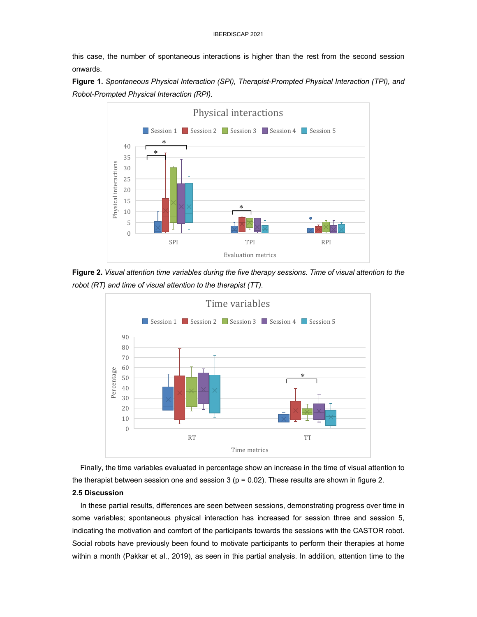this case, the number of spontaneous interactions is higher than the rest from the second session onwards.

**Figure 1.** *Spontaneous Physical Interaction (SPI), Therapist-Prompted Physical Interaction (TPI), and Robot-Prompted Physical Interaction (RPI).*



**Figure 2.** *Visual attention time variables during the five therapy sessions. Time of visual attention to the robot (RT) and time of visual attention to the therapist (TT).*



 Finally, the time variables evaluated in percentage show an increase in the time of visual attention to the therapist between session one and session 3 ( $p = 0.02$ ). These results are shown in figure 2.

# **2.5 Discussion**

 In these partial results, differences are seen between sessions, demonstrating progress over time in some variables; spontaneous physical interaction has increased for session three and session 5, indicating the motivation and comfort of the participants towards the sessions with the CASTOR robot. Social robots have previously been found to motivate participants to perform their therapies at home within a month (Pakkar et al., 2019), as seen in this partial analysis. In addition, attention time to the